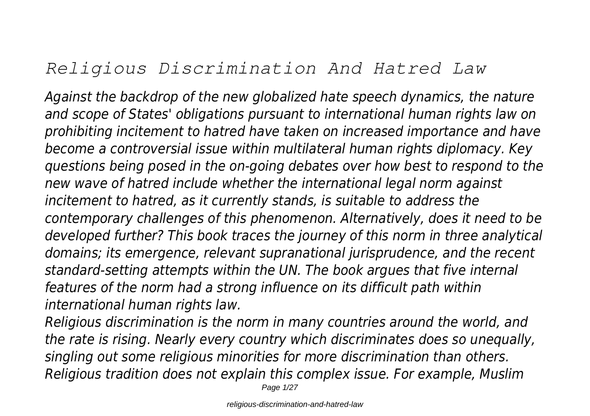# *Religious Discrimination And Hatred Law*

*Against the backdrop of the new globalized hate speech dynamics, the nature and scope of States' obligations pursuant to international human rights law on prohibiting incitement to hatred have taken on increased importance and have become a controversial issue within multilateral human rights diplomacy. Key questions being posed in the on-going debates over how best to respond to the new wave of hatred include whether the international legal norm against incitement to hatred, as it currently stands, is suitable to address the contemporary challenges of this phenomenon. Alternatively, does it need to be developed further? This book traces the journey of this norm in three analytical domains; its emergence, relevant supranational jurisprudence, and the recent standard-setting attempts within the UN. The book argues that five internal features of the norm had a strong influence on its difficult path within international human rights law.*

*Religious discrimination is the norm in many countries around the world, and the rate is rising. Nearly every country which discriminates does so unequally, singling out some religious minorities for more discrimination than others. Religious tradition does not explain this complex issue. For example, Muslim*

Page 1/27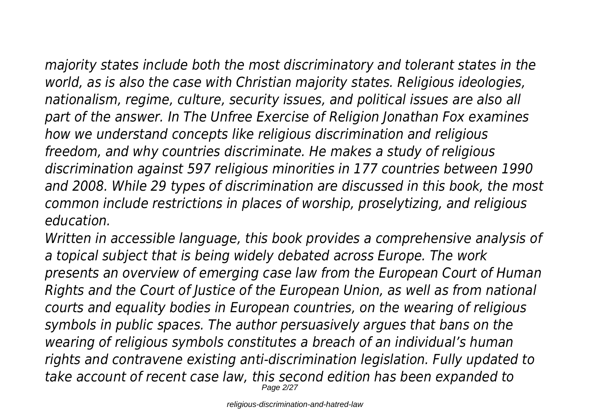*majority states include both the most discriminatory and tolerant states in the world, as is also the case with Christian majority states. Religious ideologies, nationalism, regime, culture, security issues, and political issues are also all part of the answer. In The Unfree Exercise of Religion Jonathan Fox examines how we understand concepts like religious discrimination and religious freedom, and why countries discriminate. He makes a study of religious discrimination against 597 religious minorities in 177 countries between 1990 and 2008. While 29 types of discrimination are discussed in this book, the most common include restrictions in places of worship, proselytizing, and religious education.*

*Written in accessible language, this book provides a comprehensive analysis of a topical subject that is being widely debated across Europe. The work presents an overview of emerging case law from the European Court of Human Rights and the Court of Justice of the European Union, as well as from national courts and equality bodies in European countries, on the wearing of religious symbols in public spaces. The author persuasively argues that bans on the wearing of religious symbols constitutes a breach of an individual's human rights and contravene existing anti-discrimination legislation. Fully updated to take account of recent case law, this second edition has been expanded to* Page 2/27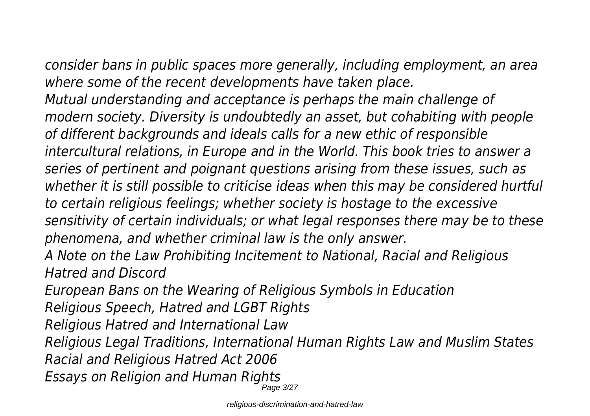*consider bans in public spaces more generally, including employment, an area where some of the recent developments have taken place.*

*Mutual understanding and acceptance is perhaps the main challenge of modern society. Diversity is undoubtedly an asset, but cohabiting with people of different backgrounds and ideals calls for a new ethic of responsible intercultural relations, in Europe and in the World. This book tries to answer a series of pertinent and poignant questions arising from these issues, such as whether it is still possible to criticise ideas when this may be considered hurtful to certain religious feelings; whether society is hostage to the excessive sensitivity of certain individuals; or what legal responses there may be to these phenomena, and whether criminal law is the only answer.*

*A Note on the Law Prohibiting Incitement to National, Racial and Religious Hatred and Discord*

*European Bans on the Wearing of Religious Symbols in Education*

*Religious Speech, Hatred and LGBT Rights*

*Religious Hatred and International Law*

*Religious Legal Traditions, International Human Rights Law and Muslim States Racial and Religious Hatred Act 2006*

*Essays on Religion and Human Rights*

Page 3/27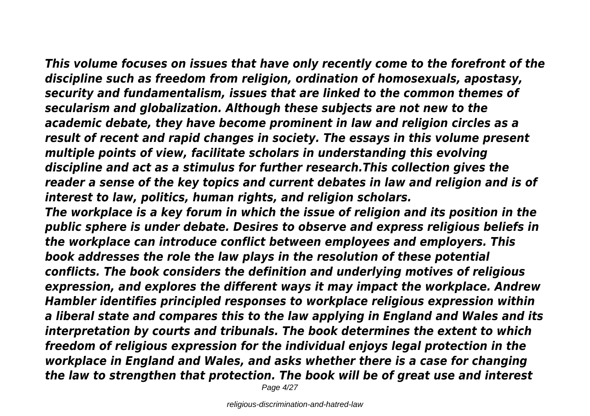*This volume focuses on issues that have only recently come to the forefront of the discipline such as freedom from religion, ordination of homosexuals, apostasy, security and fundamentalism, issues that are linked to the common themes of secularism and globalization. Although these subjects are not new to the academic debate, they have become prominent in law and religion circles as a result of recent and rapid changes in society. The essays in this volume present multiple points of view, facilitate scholars in understanding this evolving discipline and act as a stimulus for further research.This collection gives the reader a sense of the key topics and current debates in law and religion and is of interest to law, politics, human rights, and religion scholars.*

*The workplace is a key forum in which the issue of religion and its position in the public sphere is under debate. Desires to observe and express religious beliefs in the workplace can introduce conflict between employees and employers. This book addresses the role the law plays in the resolution of these potential conflicts. The book considers the definition and underlying motives of religious expression, and explores the different ways it may impact the workplace. Andrew Hambler identifies principled responses to workplace religious expression within a liberal state and compares this to the law applying in England and Wales and its interpretation by courts and tribunals. The book determines the extent to which freedom of religious expression for the individual enjoys legal protection in the workplace in England and Wales, and asks whether there is a case for changing the law to strengthen that protection. The book will be of great use and interest*

Page  $4/27$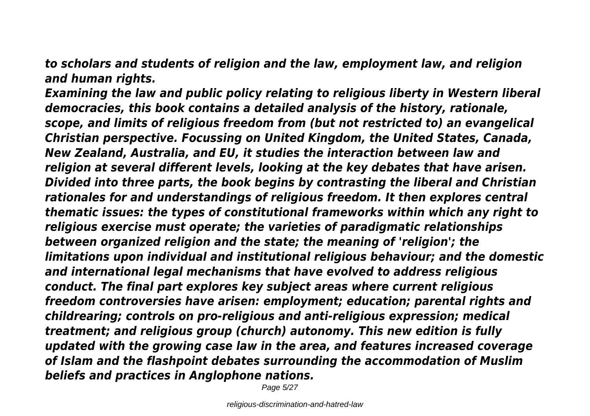*to scholars and students of religion and the law, employment law, and religion and human rights.*

*Examining the law and public policy relating to religious liberty in Western liberal democracies, this book contains a detailed analysis of the history, rationale, scope, and limits of religious freedom from (but not restricted to) an evangelical Christian perspective. Focussing on United Kingdom, the United States, Canada, New Zealand, Australia, and EU, it studies the interaction between law and religion at several different levels, looking at the key debates that have arisen. Divided into three parts, the book begins by contrasting the liberal and Christian rationales for and understandings of religious freedom. It then explores central thematic issues: the types of constitutional frameworks within which any right to religious exercise must operate; the varieties of paradigmatic relationships between organized religion and the state; the meaning of 'religion'; the limitations upon individual and institutional religious behaviour; and the domestic and international legal mechanisms that have evolved to address religious conduct. The final part explores key subject areas where current religious freedom controversies have arisen: employment; education; parental rights and childrearing; controls on pro-religious and anti-religious expression; medical treatment; and religious group (church) autonomy. This new edition is fully updated with the growing case law in the area, and features increased coverage of Islam and the flashpoint debates surrounding the accommodation of Muslim beliefs and practices in Anglophone nations.*

Page 5/27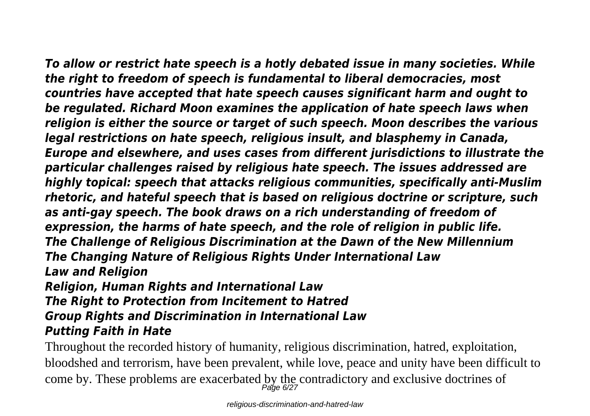*To allow or restrict hate speech is a hotly debated issue in many societies. While the right to freedom of speech is fundamental to liberal democracies, most countries have accepted that hate speech causes significant harm and ought to be regulated. Richard Moon examines the application of hate speech laws when religion is either the source or target of such speech. Moon describes the various legal restrictions on hate speech, religious insult, and blasphemy in Canada, Europe and elsewhere, and uses cases from different jurisdictions to illustrate the particular challenges raised by religious hate speech. The issues addressed are highly topical: speech that attacks religious communities, specifically anti-Muslim rhetoric, and hateful speech that is based on religious doctrine or scripture, such as anti-gay speech. The book draws on a rich understanding of freedom of expression, the harms of hate speech, and the role of religion in public life. The Challenge of Religious Discrimination at the Dawn of the New Millennium The Changing Nature of Religious Rights Under International Law Law and Religion*

### *Religion, Human Rights and International Law The Right to Protection from Incitement to Hatred Group Rights and Discrimination in International Law Putting Faith in Hate*

Throughout the recorded history of humanity, religious discrimination, hatred, exploitation, bloodshed and terrorism, have been prevalent, while love, peace and unity have been difficult to come by. These problems are exacerbated by the contradictory and exclusive doctrines of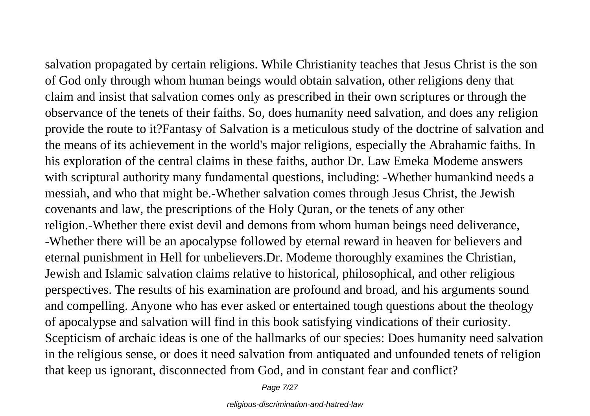salvation propagated by certain religions. While Christianity teaches that Jesus Christ is the son of God only through whom human beings would obtain salvation, other religions deny that claim and insist that salvation comes only as prescribed in their own scriptures or through the observance of the tenets of their faiths. So, does humanity need salvation, and does any religion provide the route to it?Fantasy of Salvation is a meticulous study of the doctrine of salvation and the means of its achievement in the world's major religions, especially the Abrahamic faiths. In his exploration of the central claims in these faiths, author Dr. Law Emeka Modeme answers with scriptural authority many fundamental questions, including: -Whether humankind needs a messiah, and who that might be.-Whether salvation comes through Jesus Christ, the Jewish covenants and law, the prescriptions of the Holy Quran, or the tenets of any other religion.-Whether there exist devil and demons from whom human beings need deliverance, -Whether there will be an apocalypse followed by eternal reward in heaven for believers and eternal punishment in Hell for unbelievers.Dr. Modeme thoroughly examines the Christian, Jewish and Islamic salvation claims relative to historical, philosophical, and other religious perspectives. The results of his examination are profound and broad, and his arguments sound and compelling. Anyone who has ever asked or entertained tough questions about the theology of apocalypse and salvation will find in this book satisfying vindications of their curiosity. Scepticism of archaic ideas is one of the hallmarks of our species: Does humanity need salvation in the religious sense, or does it need salvation from antiquated and unfounded tenets of religion that keep us ignorant, disconnected from God, and in constant fear and conflict?

Page 7/27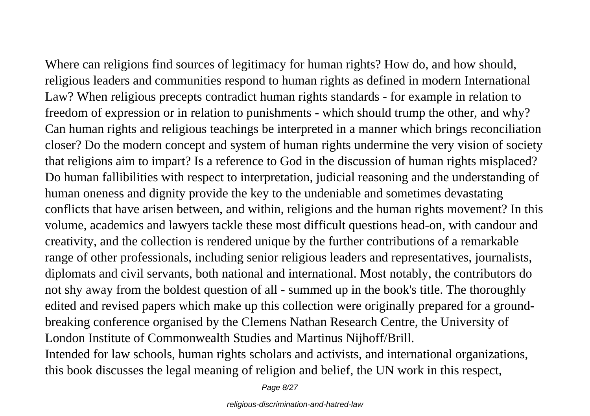Where can religions find sources of legitimacy for human rights? How do, and how should, religious leaders and communities respond to human rights as defined in modern International Law? When religious precepts contradict human rights standards - for example in relation to freedom of expression or in relation to punishments - which should trump the other, and why? Can human rights and religious teachings be interpreted in a manner which brings reconciliation closer? Do the modern concept and system of human rights undermine the very vision of society that religions aim to impart? Is a reference to God in the discussion of human rights misplaced? Do human fallibilities with respect to interpretation, judicial reasoning and the understanding of human oneness and dignity provide the key to the undeniable and sometimes devastating conflicts that have arisen between, and within, religions and the human rights movement? In this volume, academics and lawyers tackle these most difficult questions head-on, with candour and creativity, and the collection is rendered unique by the further contributions of a remarkable range of other professionals, including senior religious leaders and representatives, journalists, diplomats and civil servants, both national and international. Most notably, the contributors do not shy away from the boldest question of all - summed up in the book's title. The thoroughly edited and revised papers which make up this collection were originally prepared for a groundbreaking conference organised by the Clemens Nathan Research Centre, the University of London Institute of Commonwealth Studies and Martinus Nijhoff/Brill. Intended for law schools, human rights scholars and activists, and international organizations,

this book discusses the legal meaning of religion and belief, the UN work in this respect,

Page 8/27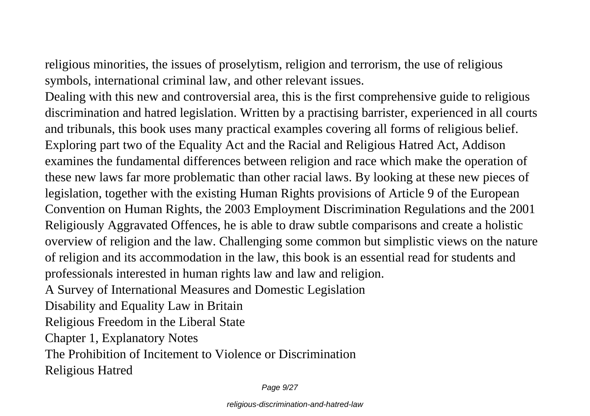religious minorities, the issues of proselytism, religion and terrorism, the use of religious symbols, international criminal law, and other relevant issues.

Dealing with this new and controversial area, this is the first comprehensive guide to religious discrimination and hatred legislation. Written by a practising barrister, experienced in all courts and tribunals, this book uses many practical examples covering all forms of religious belief. Exploring part two of the Equality Act and the Racial and Religious Hatred Act, Addison examines the fundamental differences between religion and race which make the operation of these new laws far more problematic than other racial laws. By looking at these new pieces of legislation, together with the existing Human Rights provisions of Article 9 of the European Convention on Human Rights, the 2003 Employment Discrimination Regulations and the 2001 Religiously Aggravated Offences, he is able to draw subtle comparisons and create a holistic overview of religion and the law. Challenging some common but simplistic views on the nature of religion and its accommodation in the law, this book is an essential read for students and professionals interested in human rights law and law and religion.

A Survey of International Measures and Domestic Legislation

Disability and Equality Law in Britain

Religious Freedom in the Liberal State

Chapter 1, Explanatory Notes

The Prohibition of Incitement to Violence or Discrimination

Religious Hatred

Page 9/27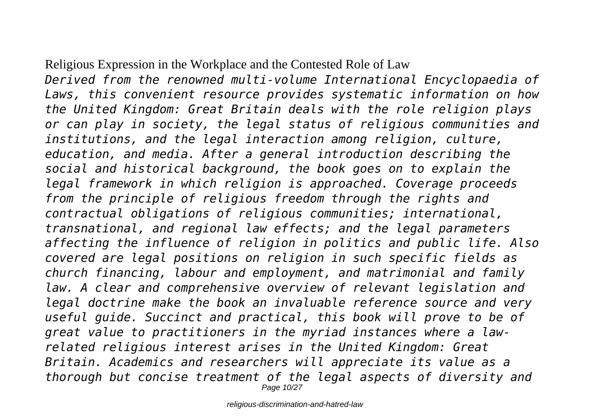### Religious Expression in the Workplace and the Contested Role of Law

*Derived from the renowned multi-volume International Encyclopaedia of Laws, this convenient resource provides systematic information on how the United Kingdom: Great Britain deals with the role religion plays or can play in society, the legal status of religious communities and institutions, and the legal interaction among religion, culture, education, and media. After a general introduction describing the social and historical background, the book goes on to explain the legal framework in which religion is approached. Coverage proceeds from the principle of religious freedom through the rights and contractual obligations of religious communities; international, transnational, and regional law effects; and the legal parameters affecting the influence of religion in politics and public life. Also covered are legal positions on religion in such specific fields as church financing, labour and employment, and matrimonial and family law. A clear and comprehensive overview of relevant legislation and legal doctrine make the book an invaluable reference source and very useful guide. Succinct and practical, this book will prove to be of great value to practitioners in the myriad instances where a lawrelated religious interest arises in the United Kingdom: Great Britain. Academics and researchers will appreciate its value as a thorough but concise treatment of the legal aspects of diversity and* Page 10/27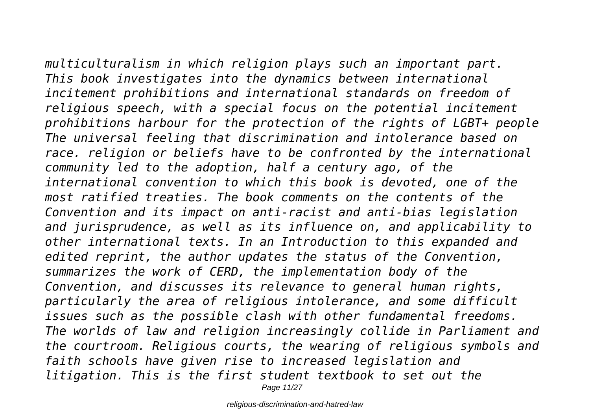*multiculturalism in which religion plays such an important part. This book investigates into the dynamics between international incitement prohibitions and international standards on freedom of religious speech, with a special focus on the potential incitement prohibitions harbour for the protection of the rights of LGBT+ people The universal feeling that discrimination and intolerance based on race. religion or beliefs have to be confronted by the international community led to the adoption, half a century ago, of the international convention to which this book is devoted, one of the most ratified treaties. The book comments on the contents of the Convention and its impact on anti-racist and anti-bias legislation and jurisprudence, as well as its influence on, and applicability to other international texts. In an Introduction to this expanded and edited reprint, the author updates the status of the Convention, summarizes the work of CERD, the implementation body of the Convention, and discusses its relevance to general human rights, particularly the area of religious intolerance, and some difficult issues such as the possible clash with other fundamental freedoms. The worlds of law and religion increasingly collide in Parliament and the courtroom. Religious courts, the wearing of religious symbols and faith schools have given rise to increased legislation and litigation. This is the first student textbook to set out the* Page 11/27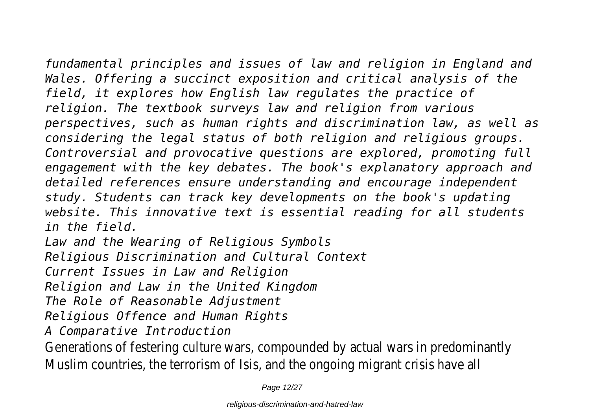*fundamental principles and issues of law and religion in England and Wales. Offering a succinct exposition and critical analysis of the field, it explores how English law regulates the practice of religion. The textbook surveys law and religion from various perspectives, such as human rights and discrimination law, as well as considering the legal status of both religion and religious groups. Controversial and provocative questions are explored, promoting full engagement with the key debates. The book's explanatory approach and detailed references ensure understanding and encourage independent study. Students can track key developments on the book's updating website. This innovative text is essential reading for all students in the field.*

*Law and the Wearing of Religious Symbols*

*Religious Discrimination and Cultural Context*

*Current Issues in Law and Religion*

*Religion and Law in the United Kingdom*

*The Role of Reasonable Adjustment*

*Religious Offence and Human Rights*

*A Comparative Introduction*

Generations of festering culture wars, compounded by actual wars in predominantly Muslim countries, the terrorism of Isis, and the ongoing migrant crisis have all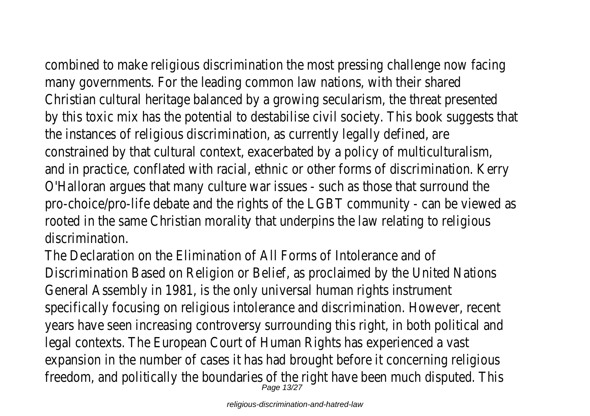combined to make religious discrimination the most pressing challenge now facing many governments. For the leading common law nations, with their shared

Christian cultural heritage balanced by a growing secularism, the threat presented by this toxic mix has the potential to destabilise civil society. This book suggests that the instances of religious discrimination, as currently legally defined, are constrained by that cultural context, exacerbated by a policy of multiculturalism, and in practice, conflated with racial, ethnic or other forms of discrimination. Kerry O'Halloran argues that many culture war issues - such as those that surround the pro-choice/pro-life debate and the rights of the LGBT community - can be viewed as rooted in the same Christian morality that underpins the law relating to religious discrimination.

The Declaration on the Elimination of All Forms of Intolerance and of Discrimination Based on Religion or Belief, as proclaimed by the United Nations General Assembly in 1981, is the only universal human rights instrument specifically focusing on religious intolerance and discrimination. However, recent years have seen increasing controversy surrounding this right, in both political and legal contexts. The European Court of Human Rights has experienced a vast expansion in the number of cases it has had brought before it concerning religious freedom, and politically the boundaries of the right have been much disputed. This  $P_{\text{age 13/27}}$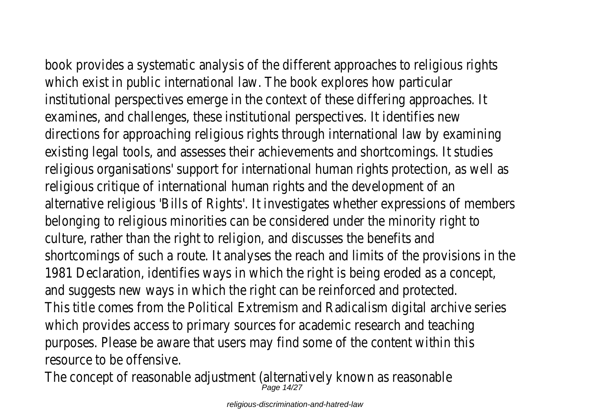book provides a systematic analysis of the different approaches to religious rights which exist in public international law. The book explores how particular institutional perspectives emerge in the context of these differing approaches. It examines, and challenges, these institutional perspectives. It identifies new directions for approaching religious rights through international law by examining existing legal tools, and assesses their achievements and shortcomings. It studies religious organisations' support for international human rights protection, as well as religious critique of international human rights and the development of an alternative religious 'Bills of Rights'. It investigates whether expressions of members belonging to religious minorities can be considered under the minority right to culture, rather than the right to religion, and discusses the benefits and shortcomings of such a route. It analyses the reach and limits of the provisions in the 1981 Declaration, identifies ways in which the right is being eroded as a concept, and suggests new ways in which the right can be reinforced and protected. This title comes from the Political Extremism and Radicalism digital archive series which provides access to primary sources for academic research and teaching purposes. Please be aware that users may find some of the content within this resource to be offensive.

The concept of reasonable adjustment (alternatively known as reasonable  $_{Page 14/27}^{Page 14/27}$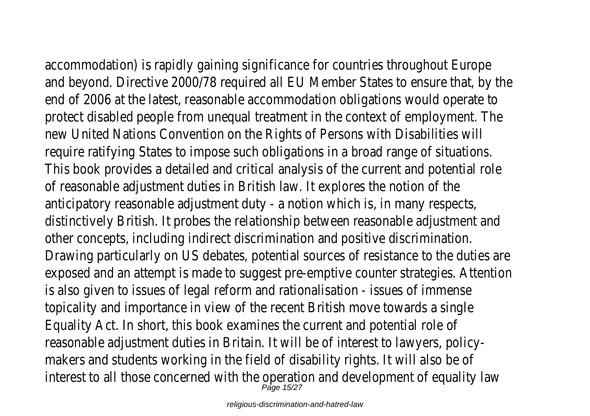accommodation) is rapidly gaining significance for countries throughout Europe and beyond. Directive 2000/78 required all EU Member States to ensure that, by the end of 2006 at the latest, reasonable accommodation obligations would operate to protect disabled people from unequal treatment in the context of employment. The new United Nations Convention on the Rights of Persons with Disabilities will require ratifying States to impose such obligations in a broad range of situations. This book provides a detailed and critical analysis of the current and potential role of reasonable adjustment duties in British law. It explores the notion of the anticipatory reasonable adjustment duty - a notion which is, in many respects, distinctively British. It probes the relationship between reasonable adjustment and other concepts, including indirect discrimination and positive discrimination. Drawing particularly on US debates, potential sources of resistance to the duties are exposed and an attempt is made to suggest pre-emptive counter strategies. Attentic is also given to issues of legal reform and rationalisation - issues of immense topicality and importance in view of the recent British move towards a single Equality Act. In short, this book examines the current and potential role of reasonable adjustment duties in Britain. It will be of interest to lawyers, policymakers and students working in the field of disability rights. It will also be of interest to all those concerned with the operation and development of equality law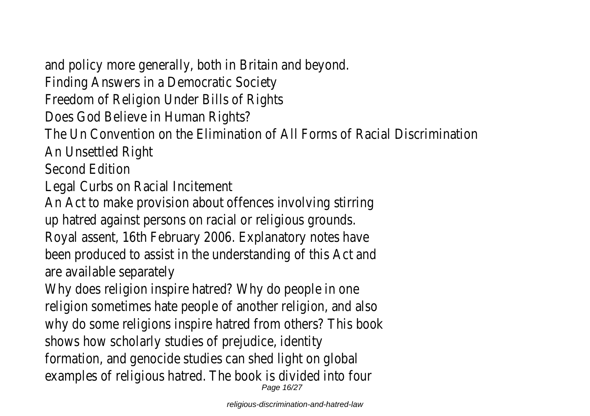and policy more generally, both in Britain and beyond. Finding Answers in a Democratic Society Freedom of Religion Under Bills of Rights Does God Believe in Human Rights? The Un Convention on the Elimination of All Forms of Racial Discrimination An Unsettled Right Second Edition Legal Curbs on Racial Incitement An Act to make provision about offences involving stirring up hatred against persons on racial or religious grounds. Royal assent, 16th February 2006. Explanatory notes have been produced to assist in the understanding of this Act and are available separately Why does religion inspire hatred? Why do people in one religion sometimes hate people of another religion, and also why do some religions inspire hatred from others? This book shows how scholarly studies of prejudice, identity formation, and genocide studies can shed light on global examples of religious hatred. The book is divided into four Page 16/27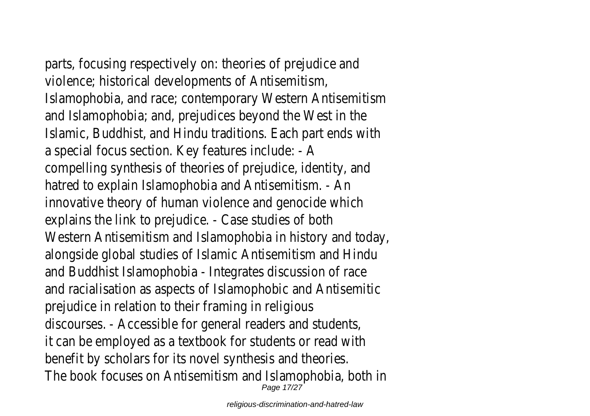parts, focusing respectively on: theories of prejudice and violence; historical developments of Antisemitism, Islamophobia, and race; contemporary Western Antisemitism and Islamophobia; and, prejudices beyond the West in the Islamic, Buddhist, and Hindu traditions. Each part ends with a special focus section. Key features include: - A compelling synthesis of theories of prejudice, identity, and hatred to explain Islamophobia and Antisemitism. - An innovative theory of human violence and genocide which explains the link to prejudice. - Case studies of both Western Antisemitism and Islamophobia in history and today, alongside global studies of Islamic Antisemitism and Hindu and Buddhist Islamophobia - Integrates discussion of race and racialisation as aspects of Islamophobic and Antisemitic prejudice in relation to their framing in religious discourses. - Accessible for general readers and students, it can be employed as a textbook for students or read with benefit by scholars for its novel synthesis and theories. The book focuses on Antisemitism and Islamophobia, both in Page 17/27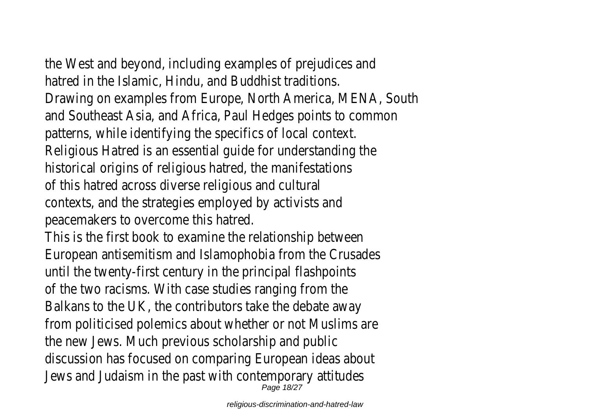the West and beyond, including examples of prejudices and

hatred in the Islamic, Hindu, and Buddhist traditions. Drawing on examples from Europe, North America, MENA, South and Southeast Asia, and Africa, Paul Hedges points to common patterns, while identifying the specifics of local context. Religious Hatred is an essential guide for understanding the historical origins of religious hatred, the manifestations of this hatred across diverse religious and cultural contexts, and the strategies employed by activists and peacemakers to overcome this hatred. This is the first book to examine the relationship between European antisemitism and Islamophobia from the Crusades until the twenty-first century in the principal flashpoints of the two racisms. With case studies ranging from the Balkans to the UK, the contributors take the debate away from politicised polemics about whether or not Muslims are the new Jews. Much previous scholarship and public discussion has focused on comparing European ideas about Jews and Judaism in the past with contemporary attitudes

Page 18/27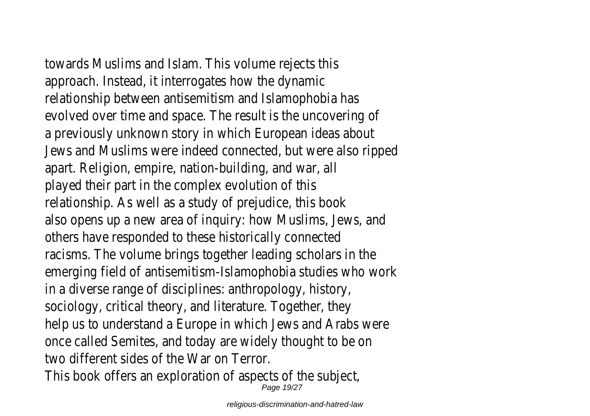towards Muslims and Islam. This volume rejects this approach. Instead, it interrogates how the dynamic relationship between antisemitism and Islamophobia has evolved over time and space. The result is the uncovering of a previously unknown story in which European ideas about Jews and Muslims were indeed connected, but were also ripped apart. Religion, empire, nation-building, and war, all played their part in the complex evolution of this relationship. As well as a study of prejudice, this book also opens up a new area of inquiry: how Muslims, Jews, and others have responded to these historically connected racisms. The volume brings together leading scholars in the emerging field of antisemitism-Islamophobia studies who work in a diverse range of disciplines: anthropology, history, sociology, critical theory, and literature. Together, they help us to understand a Europe in which Jews and Arabs were once called Semites, and today are widely thought to be on two different sides of the War on Terror. This book offers an exploration of aspects of the subject,

Page 19/27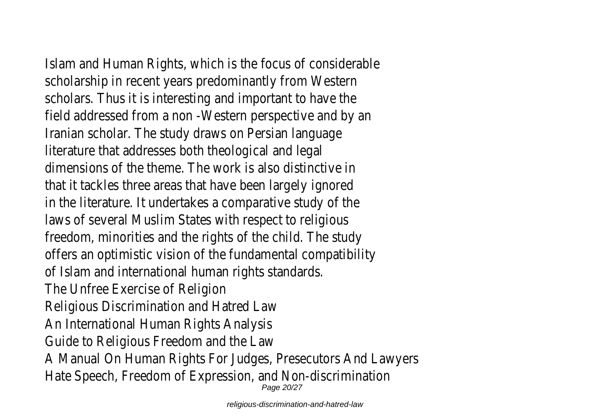Islam and Human Rights, which is the focus of considerable scholarship in recent years predominantly from Western scholars. Thus it is interesting and important to have the field addressed from a non -Western perspective and by an Iranian scholar. The study draws on Persian language literature that addresses both theological and legal dimensions of the theme. The work is also distinctive in that it tackles three areas that have been largely ignored in the literature. It undertakes a comparative study of the laws of several Muslim States with respect to religious freedom, minorities and the rights of the child. The study offers an optimistic vision of the fundamental compatibility of Islam and international human rights standards. The Unfree Exercise of Religion Religious Discrimination and Hatred Law An International Human Rights Analysis Guide to Religious Freedom and the Law A Manual On Human Rights For Judges, Presecutors And Lawyers Hate Speech, Freedom of Expression, and Non-discrimination Page 20/27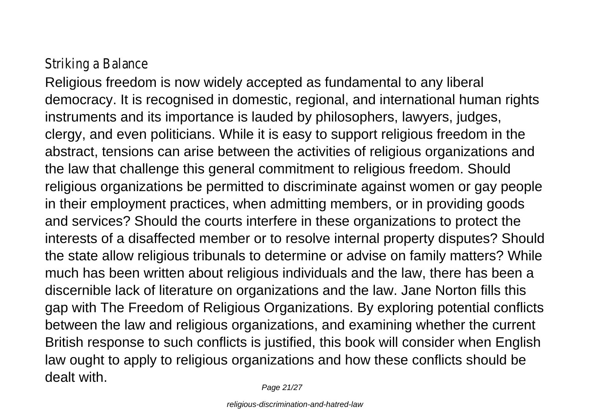## Striking a Balance

Religious freedom is now widely accepted as fundamental to any liberal democracy. It is recognised in domestic, regional, and international human rights instruments and its importance is lauded by philosophers, lawyers, judges, clergy, and even politicians. While it is easy to support religious freedom in the abstract, tensions can arise between the activities of religious organizations and the law that challenge this general commitment to religious freedom. Should religious organizations be permitted to discriminate against women or gay people in their employment practices, when admitting members, or in providing goods and services? Should the courts interfere in these organizations to protect the interests of a disaffected member or to resolve internal property disputes? Should the state allow religious tribunals to determine or advise on family matters? While much has been written about religious individuals and the law, there has been a discernible lack of literature on organizations and the law. Jane Norton fills this gap with The Freedom of Religious Organizations. By exploring potential conflicts between the law and religious organizations, and examining whether the current British response to such conflicts is justified, this book will consider when English law ought to apply to religious organizations and how these conflicts should be dealt with.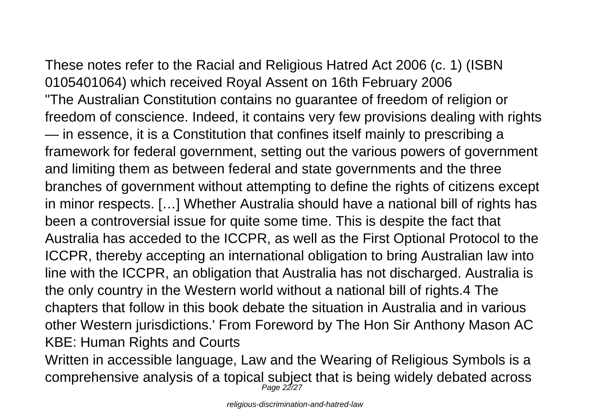These notes refer to the Racial and Religious Hatred Act 2006 (c. 1) (ISBN 0105401064) which received Royal Assent on 16th February 2006 "The Australian Constitution contains no guarantee of freedom of religion or freedom of conscience. Indeed, it contains very few provisions dealing with rights — in essence, it is a Constitution that confines itself mainly to prescribing a framework for federal government, setting out the various powers of government and limiting them as between federal and state governments and the three branches of government without attempting to define the rights of citizens except in minor respects. […] Whether Australia should have a national bill of rights has been a controversial issue for quite some time. This is despite the fact that Australia has acceded to the ICCPR, as well as the First Optional Protocol to the ICCPR, thereby accepting an international obligation to bring Australian law into line with the ICCPR, an obligation that Australia has not discharged. Australia is the only country in the Western world without a national bill of rights.4 The chapters that follow in this book debate the situation in Australia and in various other Western jurisdictions.' From Foreword by The Hon Sir Anthony Mason AC KBE: Human Rights and Courts

Written in accessible language, Law and the Wearing of Religious Symbols is a comprehensive analysis of a topical subject that is being widely debated across Page 22/27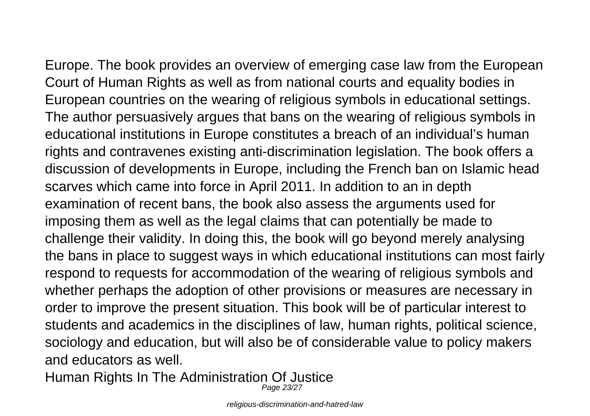Europe. The book provides an overview of emerging case law from the European Court of Human Rights as well as from national courts and equality bodies in European countries on the wearing of religious symbols in educational settings. The author persuasively argues that bans on the wearing of religious symbols in educational institutions in Europe constitutes a breach of an individual's human rights and contravenes existing anti-discrimination legislation. The book offers a discussion of developments in Europe, including the French ban on Islamic head scarves which came into force in April 2011. In addition to an in depth examination of recent bans, the book also assess the arguments used for imposing them as well as the legal claims that can potentially be made to challenge their validity. In doing this, the book will go beyond merely analysing the bans in place to suggest ways in which educational institutions can most fairly respond to requests for accommodation of the wearing of religious symbols and whether perhaps the adoption of other provisions or measures are necessary in order to improve the present situation. This book will be of particular interest to students and academics in the disciplines of law, human rights, political science, sociology and education, but will also be of considerable value to policy makers and educators as well.

Human Rights In The Administration Of Justice Page 23/27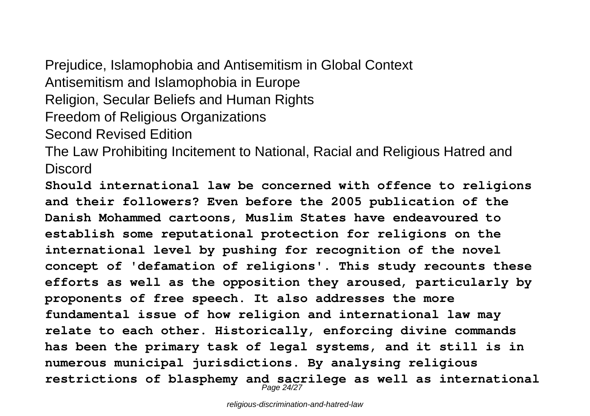Prejudice, Islamophobia and Antisemitism in Global Context Antisemitism and Islamophobia in Europe Religion, Secular Beliefs and Human Rights Freedom of Religious Organizations Second Revised Edition

The Law Prohibiting Incitement to National, Racial and Religious Hatred and Discord

**Should international law be concerned with offence to religions and their followers? Even before the 2005 publication of the Danish Mohammed cartoons, Muslim States have endeavoured to establish some reputational protection for religions on the international level by pushing for recognition of the novel concept of 'defamation of religions'. This study recounts these efforts as well as the opposition they aroused, particularly by proponents of free speech. It also addresses the more fundamental issue of how religion and international law may relate to each other. Historically, enforcing divine commands has been the primary task of legal systems, and it still is in numerous municipal jurisdictions. By analysing religious** restrictions of blasphemy and sacrilege as well as international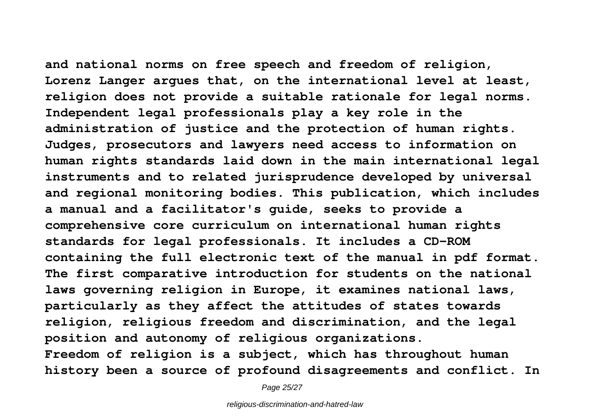**and national norms on free speech and freedom of religion, Lorenz Langer argues that, on the international level at least, religion does not provide a suitable rationale for legal norms. Independent legal professionals play a key role in the administration of justice and the protection of human rights. Judges, prosecutors and lawyers need access to information on human rights standards laid down in the main international legal instruments and to related jurisprudence developed by universal and regional monitoring bodies. This publication, which includes a manual and a facilitator's guide, seeks to provide a comprehensive core curriculum on international human rights standards for legal professionals. It includes a CD-ROM containing the full electronic text of the manual in pdf format. The first comparative introduction for students on the national laws governing religion in Europe, it examines national laws, particularly as they affect the attitudes of states towards religion, religious freedom and discrimination, and the legal position and autonomy of religious organizations. Freedom of religion is a subject, which has throughout human history been a source of profound disagreements and conflict. In**

Page 25/27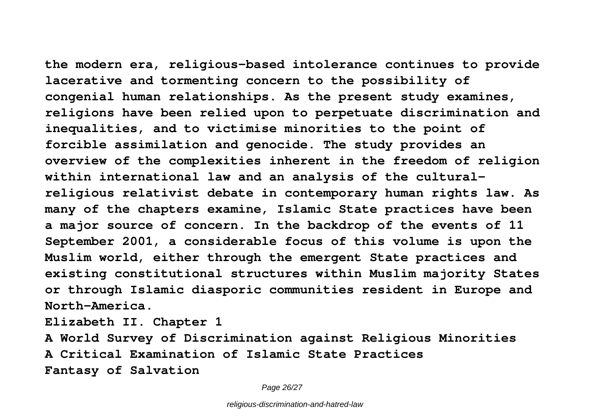**the modern era, religious-based intolerance continues to provide lacerative and tormenting concern to the possibility of congenial human relationships. As the present study examines, religions have been relied upon to perpetuate discrimination and inequalities, and to victimise minorities to the point of forcible assimilation and genocide. The study provides an overview of the complexities inherent in the freedom of religion within international law and an analysis of the culturalreligious relativist debate in contemporary human rights law. As many of the chapters examine, Islamic State practices have been a major source of concern. In the backdrop of the events of 11 September 2001, a considerable focus of this volume is upon the Muslim world, either through the emergent State practices and existing constitutional structures within Muslim majority States or through Islamic diasporic communities resident in Europe and North-America.**

**Elizabeth II. Chapter 1**

**A World Survey of Discrimination against Religious Minorities A Critical Examination of Islamic State Practices Fantasy of Salvation**

Page 26/27